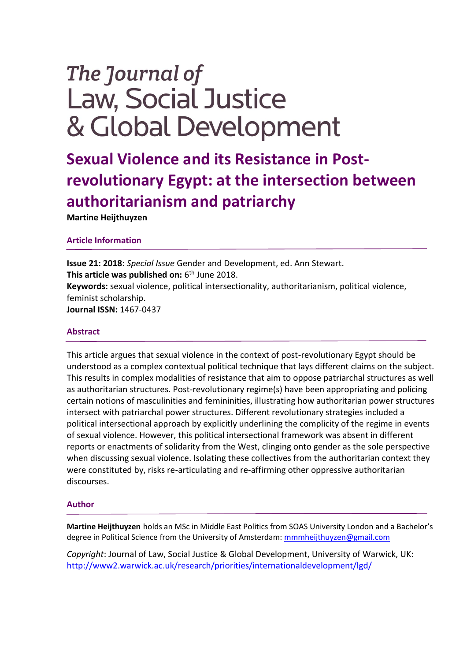# The Journal of **Law, Social Justice** & Global Development

## **Sexual Violence and its Resistance in Postrevolutionary Egypt: at the intersection between authoritarianism and patriarchy**

**Martine Heijthuyzen**

#### **Article Information**

**Issue 21: 2018**: *Special Issue* Gender and Development, ed. Ann Stewart. **This article was published on:** 6<sup>th</sup> June 2018. **Keywords:** sexual violence, political intersectionality, authoritarianism, political violence, feminist scholarship. **Journal ISSN:** 1467-0437

#### **Abstract**

This article argues that sexual violence in the context of post-revolutionary Egypt should be understood as a complex contextual political technique that lays different claims on the subject. This results in complex modalities of resistance that aim to oppose patriarchal structures as well as authoritarian structures. Post-revolutionary regime(s) have been appropriating and policing certain notions of masculinities and femininities, illustrating how authoritarian power structures intersect with patriarchal power structures. Different revolutionary strategies included a political intersectional approach by explicitly underlining the complicity of the regime in events of sexual violence. However, this political intersectional framework was absent in different reports or enactments of solidarity from the West, clinging onto gender as the sole perspective when discussing sexual violence. Isolating these collectives from the authoritarian context they were constituted by, risks re-articulating and re-affirming other oppressive authoritarian discourses.

#### **Author**

**Martine Heijthuyzen** holds an MSc in Middle East Politics from SOAS University London and a Bachelor's degree in Political Science from the University of Amsterdam: [mmmheijthuyzen@gmail.com](mailto:mmmheijthuyzen@gmail.com)

*Copyright*: Journal of Law, Social Justice & Global Development, University of Warwick, UK: <http://www2.warwick.ac.uk/research/priorities/internationaldevelopment/lgd/>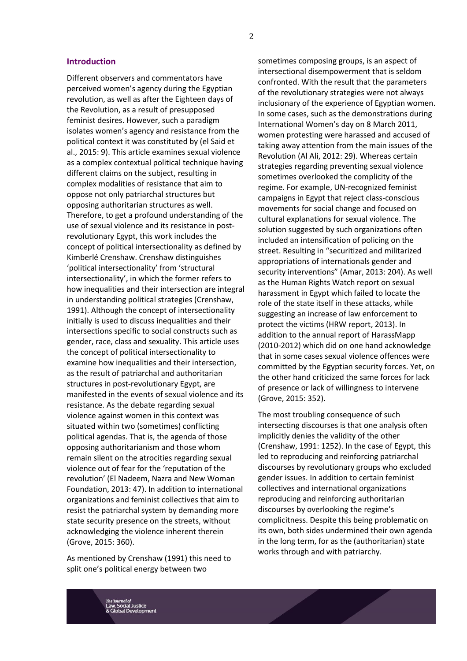#### **Introduction**

Different observers and commentators have perceived women's agency during the Egyptian revolution, as well as after the Eighteen days of the Revolution, as a result of presupposed feminist desires. However, such a paradigm isolates women's agency and resistance from the political context it was constituted by (el Said et al., 2015: 9). This article examines sexual violence as a complex contextual political technique having different claims on the subject, resulting in complex modalities of resistance that aim to oppose not only patriarchal structures but opposing authoritarian structures as well. Therefore, to get a profound understanding of the use of sexual violence and its resistance in postrevolutionary Egypt, this work includes the concept of political intersectionality as defined by Kimberlé Crenshaw. Crenshaw distinguishes 'political intersectionality' from 'structural intersectionality', in which the former refers to how inequalities and their intersection are integral in understanding political strategies (Crenshaw, 1991). Although the concept of intersectionality initially is used to discuss inequalities and their intersections specific to social constructs such as gender, race, class and sexuality. This article uses the concept of political intersectionality to examine how inequalities and their intersection, as the result of patriarchal and authoritarian structures in post-revolutionary Egypt, are manifested in the events of sexual violence and its resistance. As the debate regarding sexual violence against women in this context was situated within two (sometimes) conflicting political agendas. That is, the agenda of those opposing authoritarianism and those whom remain silent on the atrocities regarding sexual violence out of fear for the 'reputation of the revolution' (El Nadeem, Nazra and New Woman Foundation, 2013: 47). In addition to international organizations and feminist collectives that aim to resist the patriarchal system by demanding more state security presence on the streets, without acknowledging the violence inherent therein (Grove, 2015: 360).

As mentioned by Crenshaw (1991) this need to split one's political energy between two

sometimes composing groups, is an aspect of intersectional disempowerment that is seldom confronted. With the result that the parameters of the revolutionary strategies were not always inclusionary of the experience of Egyptian women. In some cases, such as the demonstrations during International Women's day on 8 March 2011, women protesting were harassed and accused of taking away attention from the main issues of the Revolution (Al Ali, 2012: 29). Whereas certain strategies regarding preventing sexual violence sometimes overlooked the complicity of the regime. For example, UN-recognized feminist campaigns in Egypt that reject class-conscious movements for social change and focused on cultural explanations for sexual violence. The solution suggested by such organizations often included an intensification of policing on the street. Resulting in "securitized and militarized appropriations of internationals gender and security interventions" (Amar, 2013: 204). As well as the Human Rights Watch report on sexual harassment in Egypt which failed to locate the role of the state itself in these attacks, while suggesting an increase of law enforcement to protect the victims (HRW report, 2013). In addition to the annual report of HarassMapp (2010-2012) which did on one hand acknowledge that in some cases sexual violence offences were committed by the Egyptian security forces. Yet, on the other hand criticized the same forces for lack of presence or lack of willingness to intervene (Grove, 2015: 352).

The most troubling consequence of such intersecting discourses is that one analysis often implicitly denies the validity of the other (Crenshaw, 1991: 1252). In the case of Egypt, this led to reproducing and reinforcing patriarchal discourses by revolutionary groups who excluded gender issues. In addition to certain feminist collectives and international organizations reproducing and reinforcing authoritarian discourses by overlooking the regime's complicitness. Despite this being problematic on its own, both sides undermined their own agenda in the long term, for as the (authoritarian) state works through and with patriarchy.

2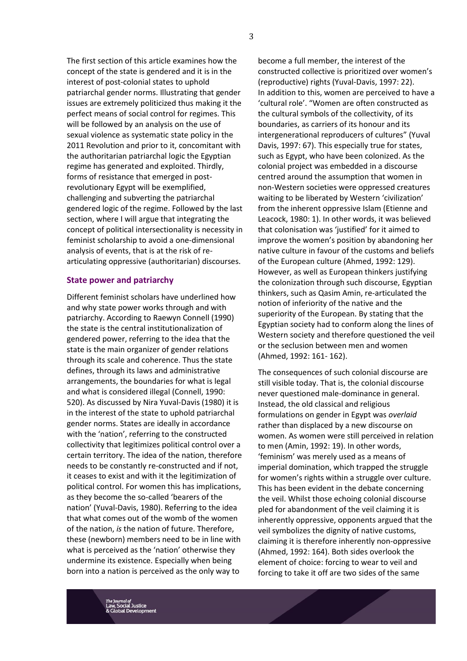The first section of this article examines how the concept of the state is gendered and it is in the interest of post-colonial states to uphold patriarchal gender norms. Illustrating that gender issues are extremely politicized thus making it the perfect means of social control for regimes. This will be followed by an analysis on the use of sexual violence as systematic state policy in the 2011 Revolution and prior to it, concomitant with the authoritarian patriarchal logic the Egyptian regime has generated and exploited. Thirdly, forms of resistance that emerged in postrevolutionary Egypt will be exemplified, challenging and subverting the patriarchal gendered logic of the regime. Followed by the last section, where I will argue that integrating the concept of political intersectionality is necessity in feminist scholarship to avoid a one-dimensional analysis of events, that is at the risk of rearticulating oppressive (authoritarian) discourses.

#### **State power and patriarchy**

Different feminist scholars have underlined how and why state power works through and with patriarchy. According to Raewyn Connell (1990) the state is the central institutionalization of gendered power, referring to the idea that the state is the main organizer of gender relations through its scale and coherence. Thus the state defines, through its laws and administrative arrangements, the boundaries for what is legal and what is considered illegal (Connell, 1990: 520). As discussed by Nira Yuval-Davis (1980) it is in the interest of the state to uphold patriarchal gender norms. States are ideally in accordance with the 'nation', referring to the constructed collectivity that legitimizes political control over a certain territory. The idea of the nation, therefore needs to be constantly re-constructed and if not, it ceases to exist and with it the legitimization of political control. For women this has implications, as they become the so-called 'bearers of the nation' (Yuval-Davis, 1980). Referring to the idea that what comes out of the womb of the women of the nation, *is* the nation of future. Therefore, these (newborn) members need to be in line with what is perceived as the 'nation' otherwise they undermine its existence. Especially when being born into a nation is perceived as the only way to

become a full member, the interest of the constructed collective is prioritized over women's (reproductive) rights (Yuval-Davis, 1997: 22). In addition to this, women are perceived to have a 'cultural role'. "Women are often constructed as the cultural symbols of the collectivity, of its boundaries, as carriers of its honour and its intergenerational reproducers of cultures" (Yuval Davis, 1997: 67). This especially true for states, such as Egypt, who have been colonized. As the colonial project was embedded in a discourse centred around the assumption that women in non-Western societies were oppressed creatures waiting to be liberated by Western 'civilization' from the inherent oppressive Islam (Etienne and Leacock, 1980: 1). In other words, it was believed that colonisation was 'justified' for it aimed to improve the women's position by abandoning her native culture in favour of the customs and beliefs of the European culture (Ahmed, 1992: 129). However, as well as European thinkers justifying the colonization through such discourse, Egyptian thinkers, such as Qasim Amin, re-articulated the notion of inferiority of the native and the superiority of the European. By stating that the Egyptian society had to conform along the lines of Western society and therefore questioned the veil or the seclusion between men and women (Ahmed, 1992: 161- 162).

The consequences of such colonial discourse are still visible today. That is, the colonial discourse never questioned male-dominance in general. Instead, the old classical and religious formulations on gender in Egypt was *overlaid* rather than displaced by a new discourse on women. As women were still perceived in relation to men (Amin, 1992: 19). In other words, 'feminism' was merely used as a means of imperial domination, which trapped the struggle for women's rights within a struggle over culture. This has been evident in the debate concerning the veil. Whilst those echoing colonial discourse pled for abandonment of the veil claiming it is inherently oppressive, opponents argued that the veil symbolizes the dignity of native customs, claiming it is therefore inherently non-oppressive (Ahmed, 1992: 164). Both sides overlook the element of choice: forcing to wear to veil and forcing to take it off are two sides of the same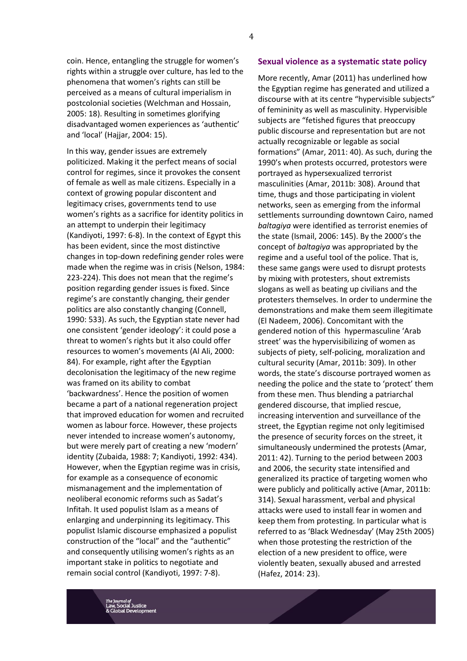coin. Hence, entangling the struggle for women's rights within a struggle over culture, has led to the phenomena that women's rights can still be perceived as a means of cultural imperialism in postcolonial societies (Welchman and Hossain, 2005: 18). Resulting in sometimes glorifying disadvantaged women experiences as 'authentic' and 'local' (Hajjar, 2004: 15).

In this way, gender issues are extremely politicized. Making it the perfect means of social control for regimes, since it provokes the consent of female as well as male citizens. Especially in a context of growing popular discontent and legitimacy crises, governments tend to use women's rights as a sacrifice for identity politics in an attempt to underpin their legitimacy (Kandiyoti, 1997: 6-8). In the context of Egypt this has been evident, since the most distinctive changes in top-down redefining gender roles were made when the regime was in crisis (Nelson, 1984: 223-224). This does not mean that the regime's position regarding gender issues is fixed. Since regime's are constantly changing, their gender politics are also constantly changing (Connell, 1990: 533). As such, the Egyptian state never had one consistent 'gender ideology': it could pose a threat to women's rights but it also could offer resources to women's movements (Al Ali, 2000: 84). For example, right after the Egyptian decolonisation the legitimacy of the new regime was framed on its ability to combat 'backwardness'. Hence the position of women became a part of a national regeneration project that improved education for women and recruited women as labour force. However, these projects never intended to increase women's autonomy, but were merely part of creating a new 'modern' identity (Zubaida, 1988: 7; Kandiyoti, 1992: 434). However, when the Egyptian regime was in crisis, for example as a consequence of economic mismanagement and the implementation of neoliberal economic reforms such as Sadat's Infitah. It used populist Islam as a means of enlarging and underpinning its legitimacy. This populist Islamic discourse emphasized a populist construction of the "local" and the "authentic" and consequently utilising women's rights as an important stake in politics to negotiate and remain social control (Kandiyoti, 1997: 7-8).

#### **Sexual violence as a systematic state policy**

More recently, Amar (2011) has underlined how the Egyptian regime has generated and utilized a discourse with at its centre "hypervisible subjects" of femininity as well as masculinity. Hypervisible subjects are "fetished figures that preoccupy public discourse and representation but are not actually recognizable or legable as social formations" (Amar, 2011: 40). As such, during the 1990's when protests occurred, protestors were portrayed as hypersexualized terrorist masculinities (Amar, 2011b: 308). Around that time, thugs and those participating in violent networks, seen as emerging from the informal settlements surrounding downtown Cairo, named *baltagiya* were identified as terrorist enemies of the state (Ismail, 2006: 145). By the 2000's the concept of *baltagiya* was appropriated by the regime and a useful tool of the police. That is, these same gangs were used to disrupt protests by mixing with protesters, shout extremists slogans as well as beating up civilians and the protesters themselves. In order to undermine the demonstrations and make them seem illegitimate (El Nadeem, 2006). Concomitant with the gendered notion of this hypermasculine 'Arab street' was the hypervisibilizing of women as subjects of piety, self-policing, moralization and cultural security (Amar, 2011b: 309). In other words, the state's discourse portrayed women as needing the police and the state to 'protect' them from these men. Thus blending a patriarchal gendered discourse, that implied rescue, increasing intervention and surveillance of the street, the Egyptian regime not only legitimised the presence of security forces on the street, it simultaneously undermined the protests (Amar, 2011: 42). Turning to the period between 2003 and 2006, the security state intensified and generalized its practice of targeting women who were publicly and politically active (Amar, 2011b: 314). Sexual harassment, verbal and physical attacks were used to install fear in women and keep them from protesting. In particular what is referred to as 'Black Wednesday' (May 25th 2005) when those protesting the restriction of the election of a new president to office, were violently beaten, sexually abused and arrested (Hafez, 2014: 23).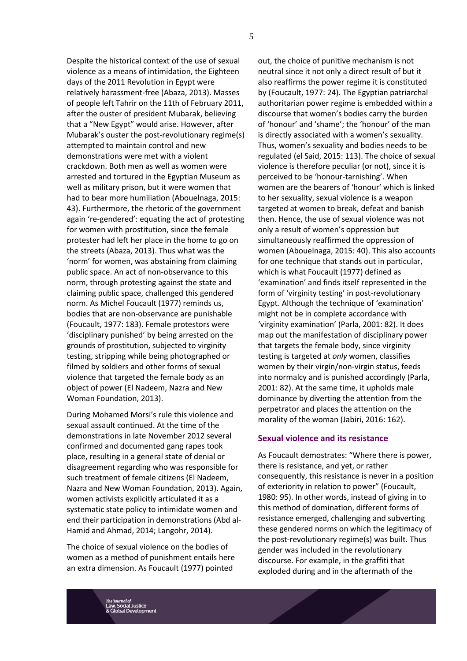Despite the historical context of the use of sexual violence as a means of intimidation, the Eighteen days of the 2011 Revolution in Egypt were relatively harassment-free (Abaza, 2013). Masses of people left Tahrir on the 11th of February 2011, after the ouster of president Mubarak, believing that a "New Egypt" would arise. However, after Mubarak's ouster the post-revolutionary regime(s) attempted to maintain control and new demonstrations were met with a violent crackdown. Both men as well as women were arrested and tortured in the Egyptian Museum as well as military prison, but it were women that had to bear more humiliation (Abouelnaga, 2015: 43). Furthermore, the rhetoric of the government again 're-gendered': equating the act of protesting for women with prostitution, since the female protester had left her place in the home to go on the streets (Abaza, 2013). Thus what was the 'norm' for women, was abstaining from claiming public space. An act of non-observance to this norm, through protesting against the state and claiming public space, challenged this gendered norm. As Michel Foucault (1977) reminds us, bodies that are non-observance are punishable (Foucault, 1977: 183). Female protestors were 'disciplinary punished' by being arrested on the grounds of prostitution, subjected to virginity testing, stripping while being photographed or filmed by soldiers and other forms of sexual violence that targeted the female body as an object of power (El Nadeem, Nazra and New Woman Foundation, 2013).

During Mohamed Morsi's rule this violence and sexual assault continued. At the time of the demonstrations in late November 2012 several confirmed and documented gang rapes took place, resulting in a general state of denial or disagreement regarding who was responsible for such treatment of female citizens (El Nadeem, Nazra and New Woman Foundation, 2013). Again, women activists explicitly articulated it as a systematic state policy to intimidate women and end their participation in demonstrations (Abd al-Hamid and Ahmad, 2014; Langohr, 2014).

The choice of sexual violence on the bodies of women as a method of punishment entails here an extra dimension. As Foucault (1977) pointed

out, the choice of punitive mechanism is not neutral since it not only a direct result of but it also reaffirms the power regime it is constituted by (Foucault, 1977: 24). The Egyptian patriarchal authoritarian power regime is embedded within a discourse that women's bodies carry the burden of 'honour' and 'shame'; the 'honour' of the man is directly associated with a women's sexuality. Thus, women's sexuality and bodies needs to be regulated (el Said, 2015: 113). The choice of sexual violence is therefore peculiar (or not), since it is perceived to be 'honour-tarnishing'. When women are the bearers of 'honour' which is linked to her sexuality, sexual violence is a weapon targeted at women to break, defeat and banish then. Hence, the use of sexual violence was not only a result of women's oppression but simultaneously reaffirmed the oppression of women (Abouelnaga, 2015: 40). This also accounts for one technique that stands out in particular, which is what Foucault (1977) defined as 'examination' and finds itself represented in the form of 'virginity testing' in post-revolutionary Egypt. Although the technique of 'examination' might not be in complete accordance with 'virginity examination' (Parla, 2001: 82). It does map out the manifestation of disciplinary power that targets the female body, since virginity testing is targeted at *only* women, classifies women by their virgin/non-virgin status, feeds into normalcy and is punished accordingly (Parla, 2001: 82). At the same time, it upholds male dominance by diverting the attention from the perpetrator and places the attention on the morality of the woman (Jabiri, 2016: 162).

#### **Sexual violence and its resistance**

As Foucault demostrates: "Where there is power, there is resistance, and yet, or rather consequently, this resistance is never in a position of exteriority in relation to power" (Foucault, 1980: 95). In other words, instead of giving in to this method of domination, different forms of resistance emerged, challenging and subverting these gendered norms on which the legitimacy of the post-revolutionary regime(s) was built. Thus gender was included in the revolutionary discourse. For example, in the graffiti that exploded during and in the aftermath of the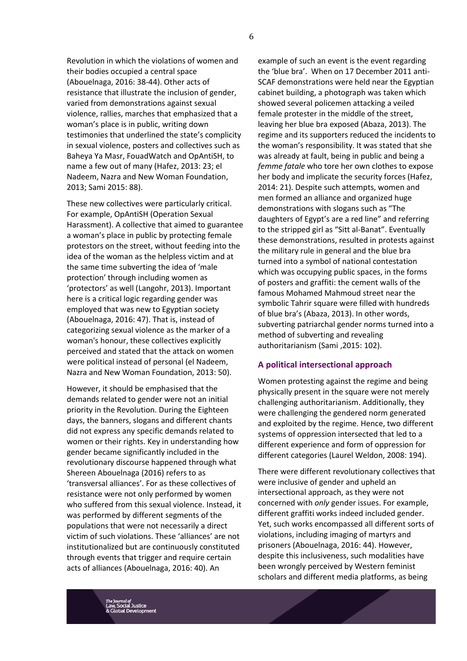Revolution in which the violations of women and their bodies occupied a central space (Abouelnaga, 2016: 38-44). Other acts of resistance that illustrate the inclusion of gender, varied from demonstrations against sexual violence, rallies, marches that emphasized that a woman's place is in public, writing down testimonies that underlined the state's complicity in sexual violence, posters and collectives such as Baheya Ya Masr, FouadWatch and OpAntiSH, to name a few out of many (Hafez, 2013: 23; el Nadeem, Nazra and New Woman Foundation, 2013; Sami 2015: 88).

These new collectives were particularly critical. For example, OpAntiSH (Operation Sexual Harassment). A collective that aimed to guarantee a woman's place in public by protecting female protestors on the street, without feeding into the idea of the woman as the helpless victim and at the same time subverting the idea of 'male protection' through including women as 'protectors' as well (Langohr, 2013). Important here is a critical logic regarding gender was employed that was new to Egyptian society (Abouelnaga, 2016: 47). That is, instead of categorizing sexual violence as the marker of a woman's honour, these collectives explicitly perceived and stated that the attack on women were political instead of personal (el Nadeem, Nazra and New Woman Foundation, 2013: 50).

However, it should be emphasised that the demands related to gender were not an initial priority in the Revolution. During the Eighteen days, the banners, slogans and different chants did not express any specific demands related to women or their rights. Key in understanding how gender became significantly included in the revolutionary discourse happened through what Shereen Abouelnaga (2016) refers to as 'transversal alliances'. For as these collectives of resistance were not only performed by women who suffered from this sexual violence. Instead, it was performed by different segments of the populations that were not necessarily a direct victim of such violations. These 'alliances' are not institutionalized but are continuously constituted through events that trigger and require certain acts of alliances (Abouelnaga, 2016: 40). An

example of such an event is the event regarding the 'blue bra'. When on 17 December 2011 anti-SCAF demonstrations were held near the Egyptian cabinet building, a photograph was taken which showed several policemen attacking a veiled female protester in the middle of the street, leaving her blue bra exposed (Abaza, 2013). The regime and its supporters reduced the incidents to the woman's responsibility. It was stated that she was already at fault, being in public and being a *femme fatale* who tore her own clothes to expose her body and implicate the security forces (Hafez, 2014: 21). Despite such attempts, women and men formed an alliance and organized huge demonstrations with slogans such as "The daughters of Egypt's are a red line" and referring to the stripped girl as "Sitt al-Banat". Eventually these demonstrations, resulted in protests against the military rule in general and the blue bra turned into a symbol of national contestation which was occupying public spaces, in the forms of posters and graffiti: the cement walls of the famous Mohamed Mahmoud street near the symbolic Tahrir square were filled with hundreds of blue bra's (Abaza, 2013). In other words, subverting patriarchal gender norms turned into a method of subverting and revealing authoritarianism (Sami ,2015: 102).

#### **A political intersectional approach**

Women protesting against the regime and being physically present in the square were not merely challenging authoritarianism. Additionally, they were challenging the gendered norm generated and exploited by the regime. Hence, two different systems of oppression intersected that led to a different experience and form of oppression for different categories (Laurel Weldon, 2008: 194).

There were different revolutionary collectives that were inclusive of gender and upheld an intersectional approach, as they were not concerned with *only* gender issues. For example, different graffiti works indeed included gender. Yet, such works encompassed all different sorts of violations, including imaging of martyrs and prisoners (Abouelnaga, 2016: 44). However, despite this inclusiveness, such modalities have been wrongly perceived by Western feminist scholars and different media platforms, as being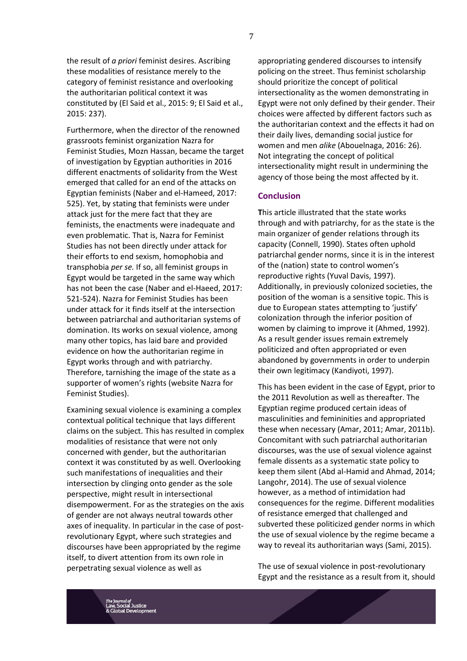the result of *a priori* feminist desires. Ascribing these modalities of resistance merely to the category of feminist resistance and overlooking the authoritarian political context it was constituted by (El Said et al., 2015: 9; El Said et al., 2015: 237).

Furthermore, when the director of the renowned grassroots feminist organization Nazra for Feminist Studies, Mozn Hassan, became the target of investigation by Egyptian authorities in 2016 different enactments of solidarity from the West emerged that called for an end of the attacks on Egyptian feminists (Naber and el-Hameed, 2017: 525). Yet, by stating that feminists were under attack just for the mere fact that they are feminists, the enactments were inadequate and even problematic. That is, Nazra for Feminist Studies has not been directly under attack for their efforts to end sexism, homophobia and transphobia *per se.* If so, all feminist groups in Egypt would be targeted in the same way which has not been the case (Naber and el-Haeed, 2017: 521-524). Nazra for Feminist Studies has been under attack for it finds itself at the intersection between patriarchal and authoritarian systems of domination. Its works on sexual violence, among many other topics, has laid bare and provided evidence on how the authoritarian regime in Egypt works through and with patriarchy. Therefore, tarnishing the image of the state as a supporter of women's rights (website Nazra for Feminist Studies).

Examining sexual violence is examining a complex contextual political technique that lays different claims on the subject. This has resulted in complex modalities of resistance that were not only concerned with gender, but the authoritarian context it was constituted by as well. Overlooking such manifestations of inequalities and their intersection by clinging onto gender as the sole perspective, might result in intersectional disempowerment. For as the strategies on the axis of gender are not always neutral towards other axes of inequality. In particular in the case of postrevolutionary Egypt, where such strategies and discourses have been appropriated by the regime itself, to divert attention from its own role in perpetrating sexual violence as well as

appropriating gendered discourses to intensify policing on the street. Thus feminist scholarship should prioritize the concept of political intersectionality as the women demonstrating in Egypt were not only defined by their gender. Their choices were affected by different factors such as the authoritarian context and the effects it had on their daily lives, demanding social justice for women and men *alike* (Abouelnaga, 2016: 26). Not integrating the concept of political intersectionality might result in undermining the agency of those being the most affected by it.

#### **Conclusion**

**T**his article illustrated that the state works through and with patriarchy, for as the state is the main organizer of gender relations through its capacity (Connell, 1990). States often uphold patriarchal gender norms, since it is in the interest of the (nation) state to control women's reproductive rights (Yuval Davis, 1997). Additionally, in previously colonized societies, the position of the woman is a sensitive topic. This is due to European states attempting to 'justify' colonization through the inferior position of women by claiming to improve it (Ahmed, 1992). As a result gender issues remain extremely politicized and often appropriated or even abandoned by governments in order to underpin their own legitimacy (Kandiyoti, 1997).

This has been evident in the case of Egypt, prior to the 2011 Revolution as well as thereafter. The Egyptian regime produced certain ideas of masculinities and femininities and appropriated these when necessary (Amar, 2011; Amar, 2011b). Concomitant with such patriarchal authoritarian discourses, was the use of sexual violence against female dissents as a systematic state policy to keep them silent (Abd al-Hamid and Ahmad, 2014; Langohr, 2014). The use of sexual violence however, as a method of intimidation had consequences for the regime. Different modalities of resistance emerged that challenged and subverted these politicized gender norms in which the use of sexual violence by the regime became a way to reveal its authoritarian ways (Sami, 2015).

The use of sexual violence in post-revolutionary Egypt and the resistance as a result from it, should